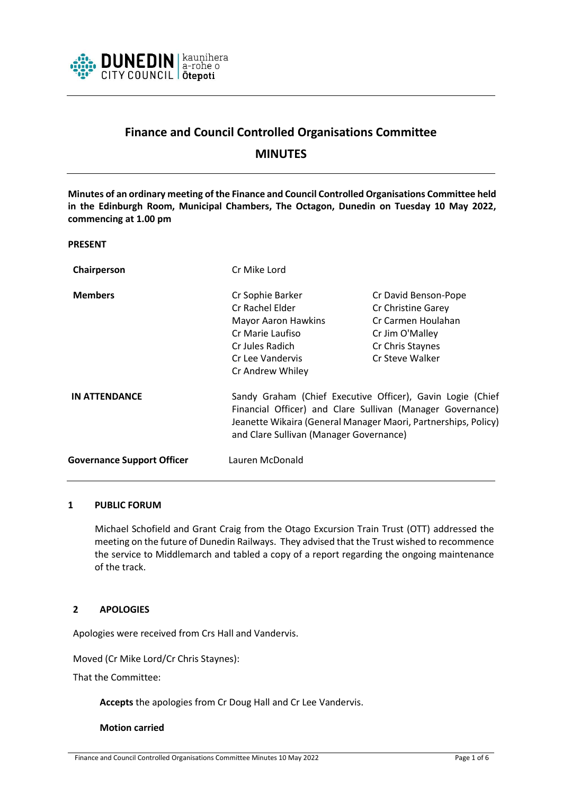

# **Finance and Council Controlled Organisations Committee**

**MINUTES**

**Minutes of an ordinary meeting of the Finance and Council Controlled Organisations Committee held in the Edinburgh Room, Municipal Chambers, The Octagon, Dunedin on Tuesday 10 May 2022, commencing at 1.00 pm**

**PRESENT**

| Chairperson                       | Cr Mike Lord                                                                                                                                                                                                                          |                      |
|-----------------------------------|---------------------------------------------------------------------------------------------------------------------------------------------------------------------------------------------------------------------------------------|----------------------|
| <b>Members</b>                    | Cr Sophie Barker                                                                                                                                                                                                                      | Cr David Benson-Pope |
|                                   | Cr Rachel Elder                                                                                                                                                                                                                       | Cr Christine Garey   |
|                                   | <b>Mayor Aaron Hawkins</b>                                                                                                                                                                                                            | Cr Carmen Houlahan   |
|                                   | Cr Marie Laufiso                                                                                                                                                                                                                      | Cr Jim O'Malley      |
|                                   | Cr Jules Radich                                                                                                                                                                                                                       | Cr Chris Staynes     |
|                                   | Cr Lee Vandervis                                                                                                                                                                                                                      | Cr Steve Walker      |
|                                   | Cr Andrew Whiley                                                                                                                                                                                                                      |                      |
| <b>IN ATTENDANCE</b>              | Sandy Graham (Chief Executive Officer), Gavin Logie (Chief<br>Financial Officer) and Clare Sullivan (Manager Governance)<br>Jeanette Wikaira (General Manager Maori, Partnerships, Policy)<br>and Clare Sullivan (Manager Governance) |                      |
| <b>Governance Support Officer</b> | Lauren McDonald                                                                                                                                                                                                                       |                      |

## **1 PUBLIC FORUM**

Michael Schofield and Grant Craig from the Otago Excursion Train Trust (OTT) addressed the meeting on the future of Dunedin Railways. They advised that the Trust wished to recommence the service to Middlemarch and tabled a copy of a report regarding the ongoing maintenance of the track.

#### **2 APOLOGIES**

Apologies were received from Crs Hall and Vandervis.

Moved (Cr Mike Lord/Cr Chris Staynes):

That the Committee:

**Accepts** the apologies from Cr Doug Hall and Cr Lee Vandervis.

#### **Motion carried**

Finance and Council Controlled Organisations Committee Minutes 10 May 2022 Page 1 of 6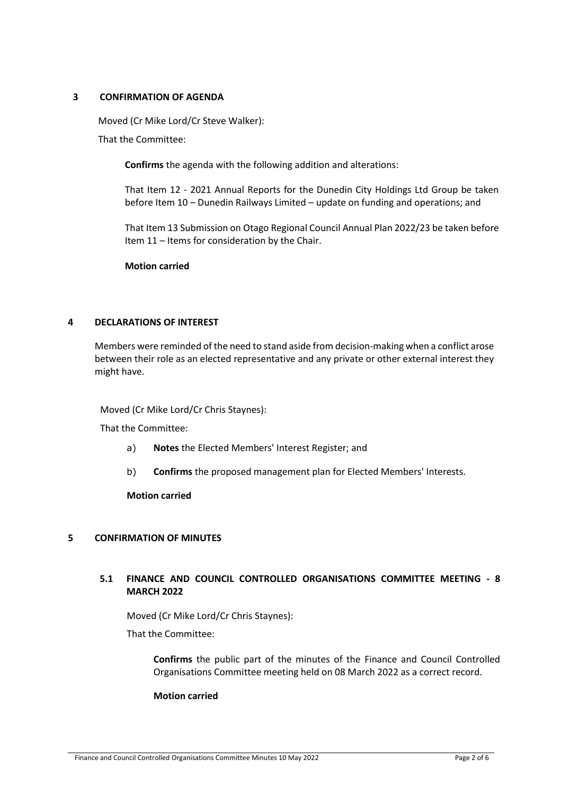#### **3 CONFIRMATION OF AGENDA**

Moved (Cr Mike Lord/Cr Steve Walker): That the Committee:

**Confirms** the agenda with the following addition and alterations:

That Item 12 - 2021 Annual Reports for the Dunedin City Holdings Ltd Group be taken before Item 10 – Dunedin Railways Limited – update on funding and operations; and

That Item 13 Submission on Otago Regional Council Annual Plan 2022/23 be taken before Item 11 – Items for consideration by the Chair.

**Motion carried**

## **4 DECLARATIONS OF INTEREST**

Members were reminded of the need to stand aside from decision-making when a conflict arose between their role as an elected representative and any private or other external interest they might have.

Moved (Cr Mike Lord/Cr Chris Staynes):

That the Committee:

- a) **Notes** the Elected Members' Interest Register; and
- b) **Confirms** the proposed management plan for Elected Members' Interests.

**Motion carried**

#### **5 CONFIRMATION OF MINUTES**

# **5.1 FINANCE AND COUNCIL CONTROLLED ORGANISATIONS COMMITTEE MEETING - 8 MARCH 2022**

Moved (Cr Mike Lord/Cr Chris Staynes):

That the Committee:

**Confirms** the public part of the minutes of the Finance and Council Controlled Organisations Committee meeting held on 08 March 2022 as a correct record.

#### **Motion carried**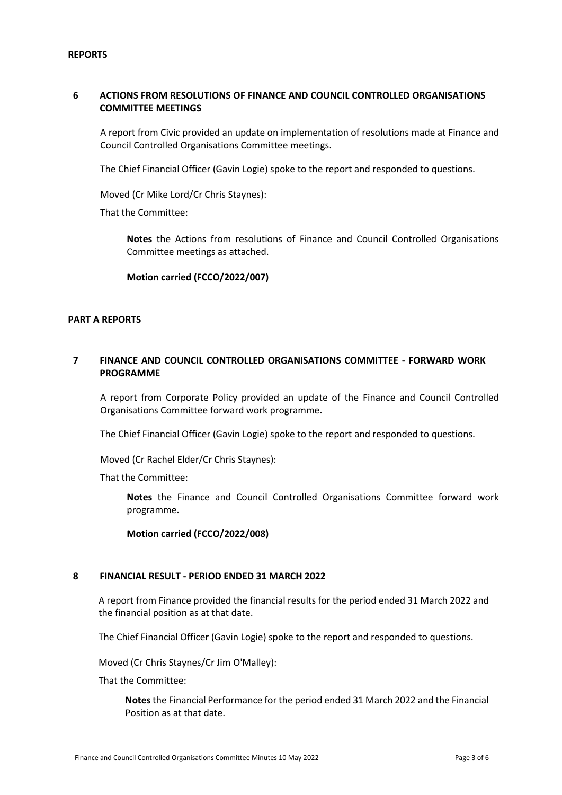#### **REPORTS**

# **6 ACTIONS FROM RESOLUTIONS OF FINANCE AND COUNCIL CONTROLLED ORGANISATIONS COMMITTEE MEETINGS**

A report from Civic provided an update on implementation of resolutions made at Finance and Council Controlled Organisations Committee meetings.

The Chief Financial Officer (Gavin Logie) spoke to the report and responded to questions.

Moved (Cr Mike Lord/Cr Chris Staynes):

That the Committee:

**Notes** the Actions from resolutions of Finance and Council Controlled Organisations Committee meetings as attached.

**Motion carried (FCCO/2022/007)**

#### **PART A REPORTS**

#### **7 FINANCE AND COUNCIL CONTROLLED ORGANISATIONS COMMITTEE - FORWARD WORK PROGRAMME**

A report from Corporate Policy provided an update of the Finance and Council Controlled Organisations Committee forward work programme.

The Chief Financial Officer (Gavin Logie) spoke to the report and responded to questions.

Moved (Cr Rachel Elder/Cr Chris Staynes):

That the Committee:

**Notes** the Finance and Council Controlled Organisations Committee forward work programme.

#### **Motion carried (FCCO/2022/008)**

#### **8 FINANCIAL RESULT - PERIOD ENDED 31 MARCH 2022**

A report from Finance provided the financial results for the period ended 31 March 2022 and the financial position as at that date.

The Chief Financial Officer (Gavin Logie) spoke to the report and responded to questions.

Moved (Cr Chris Staynes/Cr Jim O'Malley):

That the Committee:

**Notes** the Financial Performance for the period ended 31 March 2022 and the Financial Position as at that date.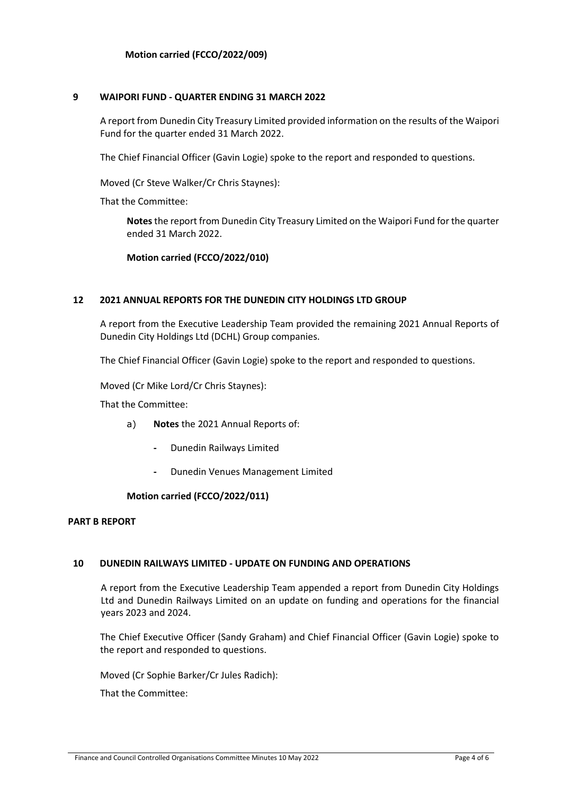#### **9 WAIPORI FUND - QUARTER ENDING 31 MARCH 2022**

A report from Dunedin City Treasury Limited provided information on the results of the Waipori Fund for the quarter ended 31 March 2022.

The Chief Financial Officer (Gavin Logie) spoke to the report and responded to questions.

Moved (Cr Steve Walker/Cr Chris Staynes):

That the Committee:

**Notes** the report from Dunedin City Treasury Limited on the Waipori Fund for the quarter ended 31 March 2022.

**Motion carried (FCCO/2022/010)**

#### **12 2021 ANNUAL REPORTS FOR THE DUNEDIN CITY HOLDINGS LTD GROUP**

A report from the Executive Leadership Team provided the remaining 2021 Annual Reports of Dunedin City Holdings Ltd (DCHL) Group companies.

The Chief Financial Officer (Gavin Logie) spoke to the report and responded to questions.

Moved (Cr Mike Lord/Cr Chris Staynes):

That the Committee:

- a) **Notes** the 2021 Annual Reports of:
	- **-** Dunedin Railways Limited
	- **-** Dunedin Venues Management Limited

#### **Motion carried (FCCO/2022/011)**

#### **PART B REPORT**

#### **10 DUNEDIN RAILWAYS LIMITED - UPDATE ON FUNDING AND OPERATIONS**

A report from the Executive Leadership Team appended a report from Dunedin City Holdings Ltd and Dunedin Railways Limited on an update on funding and operations for the financial years 2023 and 2024.

The Chief Executive Officer (Sandy Graham) and Chief Financial Officer (Gavin Logie) spoke to the report and responded to questions.

Moved (Cr Sophie Barker/Cr Jules Radich):

That the Committee: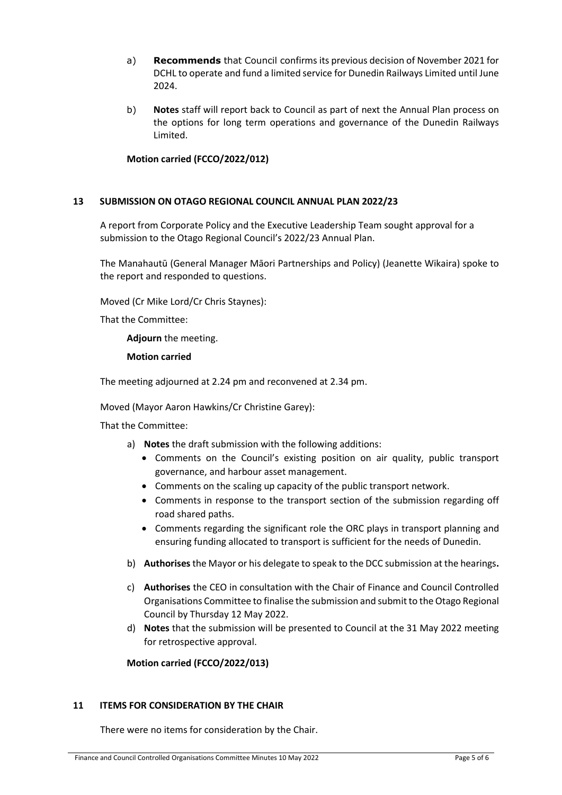- a) **Recommends** that Council confirms its previous decision of November 2021 for DCHL to operate and fund a limited service for Dunedin Railways Limited until June 2024.
- b) **Notes** staff will report back to Council as part of next the Annual Plan process on the options for long term operations and governance of the Dunedin Railways Limited.

## **Motion carried (FCCO/2022/012)**

## **13 SUBMISSION ON OTAGO REGIONAL COUNCIL ANNUAL PLAN 2022/23**

A report from Corporate Policy and the Executive Leadership Team sought approval for a submission to the Otago Regional Council's 2022/23 Annual Plan.

The Manahautū (General Manager Māori Partnerships and Policy) (Jeanette Wikaira) spoke to the report and responded to questions.

Moved (Cr Mike Lord/Cr Chris Staynes):

That the Committee:

**Adjourn** the meeting.

**Motion carried**

The meeting adjourned at 2.24 pm and reconvened at 2.34 pm.

Moved (Mayor Aaron Hawkins/Cr Christine Garey):

That the Committee:

- a) **Notes** the draft submission with the following additions:
	- Comments on the Council's existing position on air quality, public transport governance, and harbour asset management.
	- Comments on the scaling up capacity of the public transport network.
	- Comments in response to the transport section of the submission regarding off road shared paths.
	- Comments regarding the significant role the ORC plays in transport planning and ensuring funding allocated to transport is sufficient for the needs of Dunedin.
- b) **Authorises** the Mayor or his delegate to speak to the DCC submission at the hearings**.**
- c) **Authorises** the CEO in consultation with the Chair of Finance and Council Controlled Organisations Committee to finalise the submission and submit to the Otago Regional Council by Thursday 12 May 2022.
- d) **Notes** that the submission will be presented to Council at the 31 May 2022 meeting for retrospective approval.

**Motion carried (FCCO/2022/013)**

#### **11 ITEMS FOR CONSIDERATION BY THE CHAIR**

There were no items for consideration by the Chair.